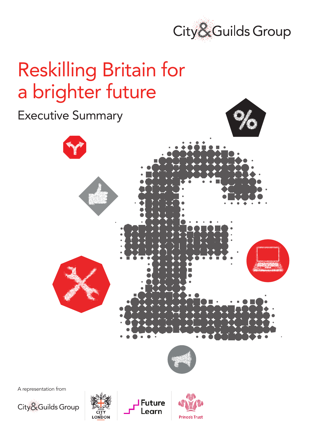

# Reskilling Britain for a brighter future



earn

**Prince's Trust** 

City&Guilds Group

LONDON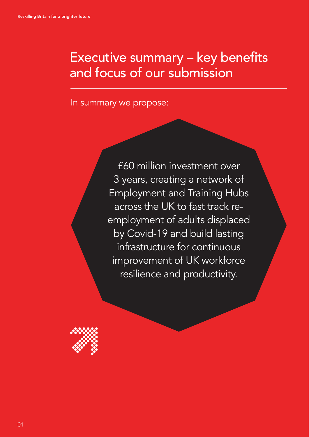# Executive summary – key benefits and focus of our submission

In summary we propose:

£60 million investment over 3 years, creating a network of Employment and Training Hubs across the UK to fast track reemployment of adults displaced by Covid-19 and build lasting infrastructure for continuous improvement of UK workforce resilience and productivity.

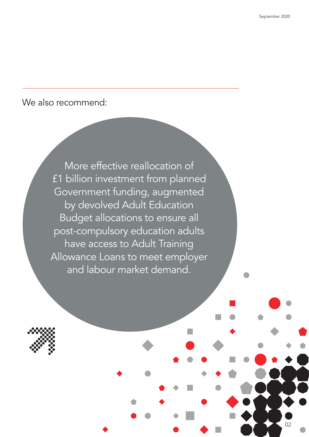02

## We also recommend:

More effective reallocation of £1 billion investment from planned Government funding, augmented by devolved Adult Education Budget allocations to ensure all post-compulsory education adults have access to Adult Training Allowance Loans to meet employer and labour market demand.

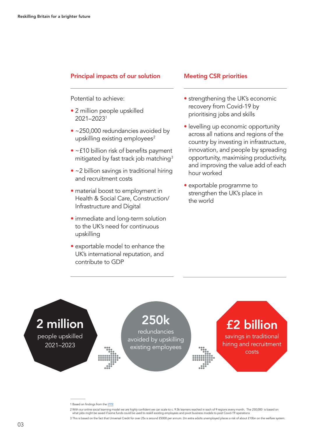### Principal impacts of our solution

Potential to achieve:

- 2 million people upskilled 2021–20231
- ~250,000 redundancies avoided by upskilling existing employees<sup>2</sup>
- ~£10 billion risk of benefits payment mitigated by fast track job matching<sup>3</sup>
- ~2 billion savings in traditional hiring and recruitment costs
- material boost to employment in Health & Social Care, Construction/ Infrastructure and Digital
- immediate and long-term solution to the UK's need for continuous upskilling
- exportable model to enhance the UK's international reputation, and contribute to GDP

#### Meeting CSR priorities

- strengthening the UK's economic recovery from Covid-19 by prioritising jobs and skills
- levelling up economic opportunity across all nations and regions of the country by investing in infrastructure, innovation, and people by spreading opportunity, maximising productivity, and improving the value add of each hour worked
- exportable programme to strengthen the UK's place in the world



<sup>1</sup> Based on findings from the **IPPR** 

<sup>2</sup> With our online social learning model we are highly confident we can scale to c. 9.5k learners reached in each of 9 regions every month. The 250,000 is based on

what jobs might be saved if some funds could be used to reskill existing employees and pivot business models to post Covid-19 operations

<sup>3</sup> This is based on the fact that Universal Credit for over 25s is around £5000 per annum. 2m extra adults unemployed places a risk of about £10bn on the welfare system.